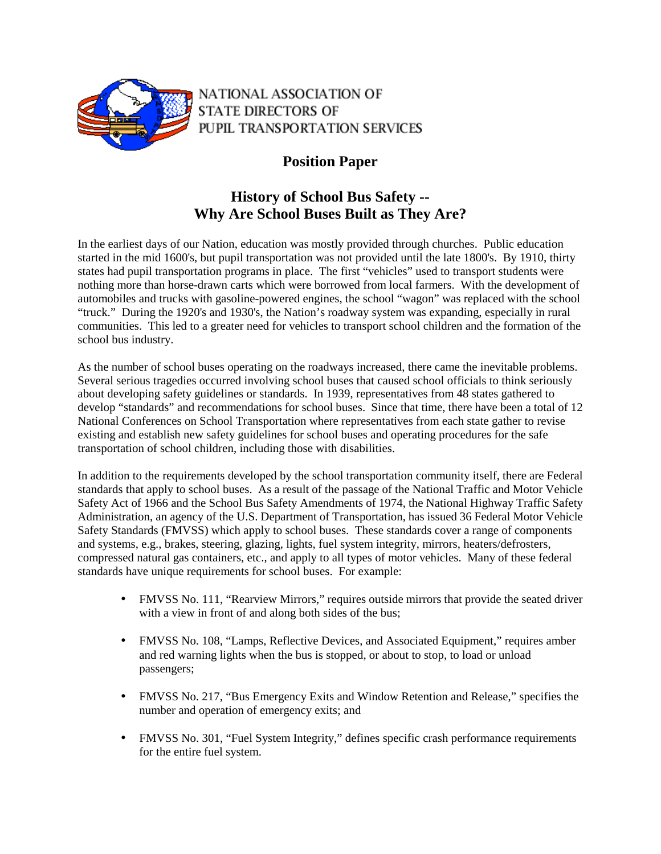

NATIONAL ASSOCIATION OF **STATE DIRECTORS OF** PUPIL TRANSPORTATION SERVICES

## **Position Paper**

## **History of School Bus Safety -- Why Are School Buses Built as They Are?**

In the earliest days of our Nation, education was mostly provided through churches. Public education started in the mid 1600's, but pupil transportation was not provided until the late 1800's. By 1910, thirty states had pupil transportation programs in place. The first "vehicles" used to transport students were nothing more than horse-drawn carts which were borrowed from local farmers. With the development of automobiles and trucks with gasoline-powered engines, the school "wagon" was replaced with the school "truck." During the 1920's and 1930's, the Nation's roadway system was expanding, especially in rural communities. This led to a greater need for vehicles to transport school children and the formation of the school bus industry.

As the number of school buses operating on the roadways increased, there came the inevitable problems. Several serious tragedies occurred involving school buses that caused school officials to think seriously about developing safety guidelines or standards. In 1939, representatives from 48 states gathered to develop "standards" and recommendations for school buses. Since that time, there have been a total of 12 National Conferences on School Transportation where representatives from each state gather to revise existing and establish new safety guidelines for school buses and operating procedures for the safe transportation of school children, including those with disabilities.

In addition to the requirements developed by the school transportation community itself, there are Federal standards that apply to school buses. As a result of the passage of the National Traffic and Motor Vehicle Safety Act of 1966 and the School Bus Safety Amendments of 1974, the National Highway Traffic Safety Administration, an agency of the U.S. Department of Transportation, has issued 36 Federal Motor Vehicle Safety Standards (FMVSS) which apply to school buses. These standards cover a range of components and systems, e.g., brakes, steering, glazing, lights, fuel system integrity, mirrors, heaters/defrosters, compressed natural gas containers, etc., and apply to all types of motor vehicles. Many of these federal standards have unique requirements for school buses. For example:

- FMVSS No. 111, "Rearview Mirrors," requires outside mirrors that provide the seated driver with a view in front of and along both sides of the bus;
- FMVSS No. 108, "Lamps, Reflective Devices, and Associated Equipment," requires amber and red warning lights when the bus is stopped, or about to stop, to load or unload passengers;
- FMVSS No. 217, "Bus Emergency Exits and Window Retention and Release," specifies the number and operation of emergency exits; and
- FMVSS No. 301, "Fuel System Integrity," defines specific crash performance requirements for the entire fuel system.